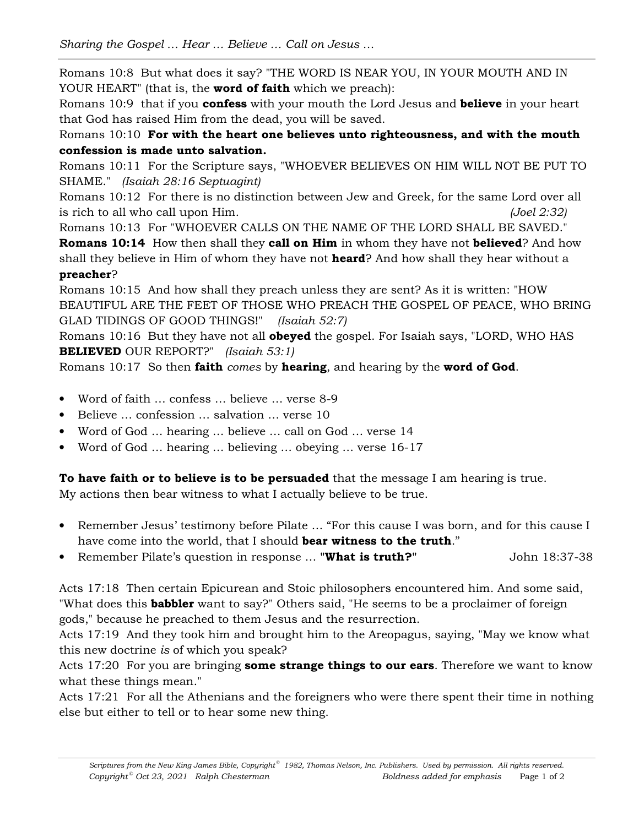Romans 10:8 But what does it say? "THE WORD IS NEAR YOU, IN YOUR MOUTH AND IN YOUR HEART" (that is, the **word of faith** which we preach):

Romans 10:9 that if you **confess** with your mouth the Lord Jesus and **believe** in your heart that God has raised Him from the dead, you will be saved.

Romans 10:10 **For with the heart one believes unto righteousness, and with the mouth confession is made unto salvation.** 

Romans 10:11 For the Scripture says, "WHOEVER BELIEVES ON HIM WILL NOT BE PUT TO SHAME." *(Isaiah 28:16 Septuagint)*

Romans 10:12 For there is no distinction between Jew and Greek, for the same Lord over all is rich to all who call upon Him. *(Joel 2:32)*

Romans 10:13 For "WHOEVER CALLS ON THE NAME OF THE LORD SHALL BE SAVED."

**Romans 10:14** How then shall they **call on Him** in whom they have not **believed**? And how shall they believe in Him of whom they have not **heard**? And how shall they hear without a **preacher**?

Romans 10:15 And how shall they preach unless they are sent? As it is written: "HOW BEAUTIFUL ARE THE FEET OF THOSE WHO PREACH THE GOSPEL OF PEACE, WHO BRING GLAD TIDINGS OF GOOD THINGS!" *(Isaiah 52:7)*

Romans 10:16 But they have not all **obeyed** the gospel. For Isaiah says, "LORD, WHO HAS **BELIEVED** OUR REPORT?" *(Isaiah 53:1)*

Romans 10:17 So then **faith** *comes* by **hearing**, and hearing by the **word of God**.

- Word of faith … confess … believe … verse 8-9
- Believe … confession … salvation … verse 10
- Word of God … hearing … believe … call on God … verse 14
- Word of God … hearing … believing … obeying … verse 16-17

**To have faith or to believe is to be persuaded** that the message I am hearing is true. My actions then bear witness to what I actually believe to be true.

- Remember Jesus' testimony before Pilate ... "For this cause I was born, and for this cause I have come into the world, that I should **bear witness to the truth**."
- Remember Pilate's question in response ... "What is truth?" John 18:37-38

Acts 17:18 Then certain Epicurean and Stoic philosophers encountered him. And some said, "What does this **babbler** want to say?" Others said, "He seems to be a proclaimer of foreign gods," because he preached to them Jesus and the resurrection.

Acts 17:19 And they took him and brought him to the Areopagus, saying, "May we know what this new doctrine *is* of which you speak?

Acts 17:20 For you are bringing **some strange things to our ears**. Therefore we want to know what these things mean."

Acts 17:21 For all the Athenians and the foreigners who were there spent their time in nothing else but either to tell or to hear some new thing.